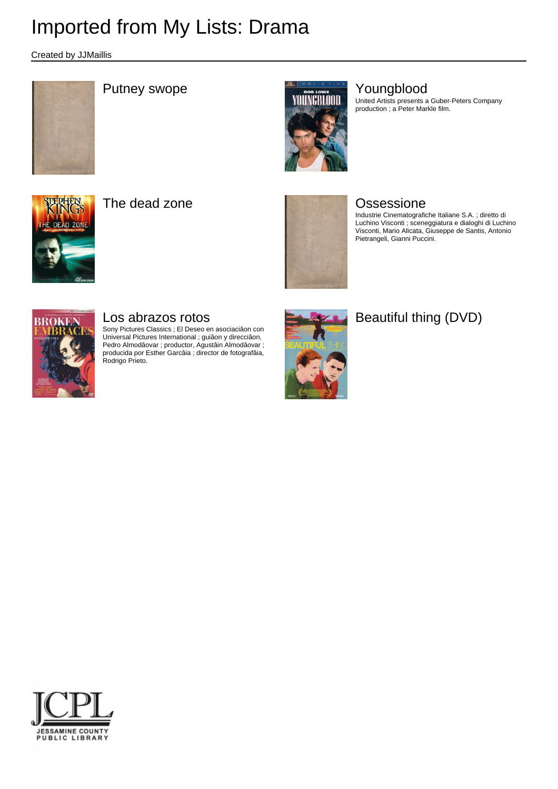Created by JJMaillis





United Artists presents a Guber-Peters Company production ; a Peter Markle film.



The dead zone **Contact Excessione Ossessione** 



Industrie Cinematografiche Italiane S.A. ; diretto di Luchino Visconti ; sceneggiatura e dialoghi di Luchino Visconti, Mario Alicata, Giuseppe de Santis, Antonio Pietrangeli, Gianni Puccini.



### Los abrazos rotos

Sony Pictures Classics ; El Deseo en asociaciâon con Universal Pictures International ; guiâon y direcciâon, Pedro Almodâovar ; productor, Agustâin Almodâovar ; producida por Esther Garcâia ; director de fotografâia, Rodrigo Prieto.



## Beautiful thing (DVD)

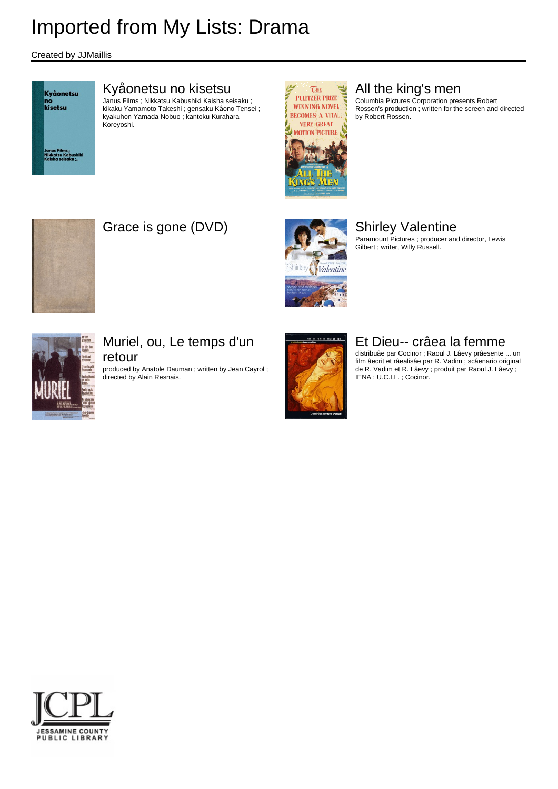Created by JJMaillis

Kyåonetsu no<br>kisetsu

#### Kyåonetsu no kisetsu

Janus Films ; Nikkatsu Kabushiki Kaisha seisaku ; kikaku Yamamoto Takeshi ; gensaku Kåono Tensei ; kyakuhon Yamada Nobuo ; kantoku Kurahara Koreyoshi.



### All the king's men

Columbia Pictures Corporation presents Robert Rossen's production ; written for the screen and directed by Robert Rossen.



## Grace is gone (DVD) Shirley Valentine



Paramount Pictures ; producer and director, Lewis Gilbert ; writer, Willy Russell.



#### Muriel, ou, Le temps d'un retour

produced by Anatole Dauman ; written by Jean Cayrol ; directed by Alain Resnais.



#### Et Dieu-- crâea la femme

distribuâe par Cocinor ; Raoul J. Lâevy prâesente ... un film âecrit et râealisâe par R. Vadim ; scâenario original de R. Vadim et R. Lâevy ; produit par Raoul J. Lâevy ; IENA ; U.C.I.L. ; Cocinor.

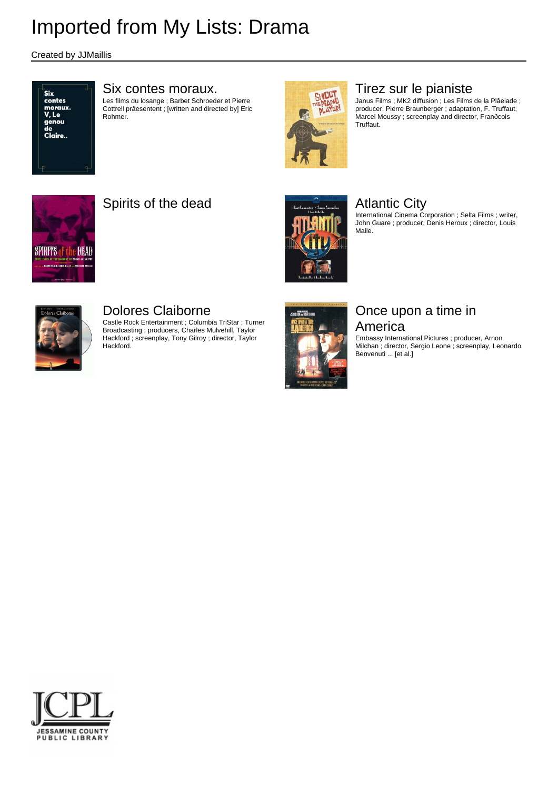Created by JJMaillis



#### Six contes moraux.

Les films du losange ; Barbet Schroeder et Pierre Cottrell prâesentent ; [written and directed by] Eric Rohmer.



### Tirez sur le pianiste

Janus Films ; MK2 diffusion ; Les Films de la Plâeiade ; producer, Pierre Braunberger ; adaptation, F. Truffaut, Marcel Moussy ; screenplay and director, Franðcois Truffaut.



### Spirits of the dead Atlantic City



International Cinema Corporation ; Selta Films ; writer, John Guare ; producer, Denis Heroux ; director, Louis Malle.



### Dolores Claiborne

Castle Rock Entertainment ; Columbia TriStar ; Turner Broadcasting ; producers, Charles Mulvehill, Taylor Hackford ; screenplay, Tony Gilroy ; director, Taylor **Hackford** 



#### Once upon a time in America

Embassy International Pictures ; producer, Arnon Milchan ; director, Sergio Leone ; screenplay, Leonardo Benvenuti ... [et al.]